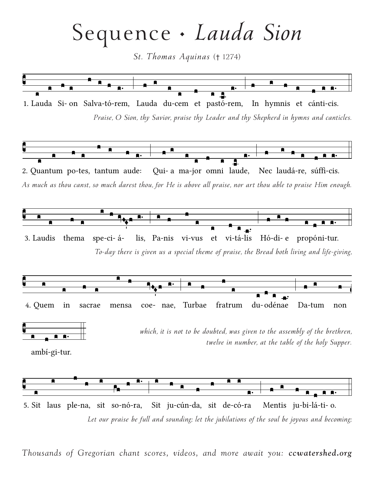Sequence •  *Lauda Sion*

*St. Thomas Aquinas* († 1274)



*Thousands of Gregorian chant scores, videos, and more await you: [ccwatershed.org](http://www.ccwatershed.org/)*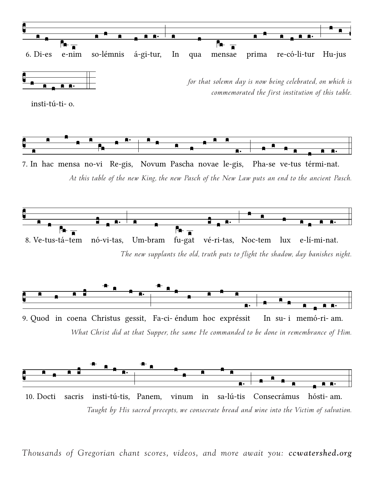

*Taught by His sacred precepts, we consecrate bread and wine into the Victim of salvation.* 10. Doc ti sac ris insti-tú-tis, Panem, vi num in sa-lú-tis Consecrámus hós ti- am.

*Thousands of Gregorian chant scores, videos, and more await you: [ccwatershed.org](http://www.ccwatershed.org/)*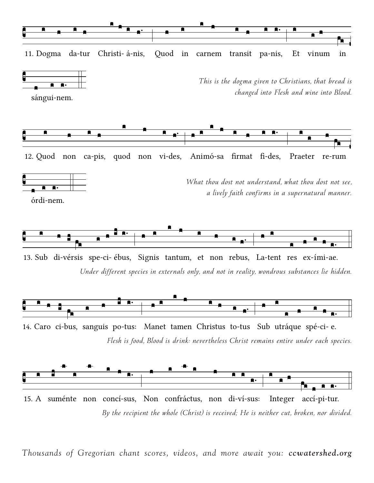

*By the recipient the whole (Christ) is received; He is neither cut, broken, nor divided.* 15. A suménte non concí-sus, Non confráctus, non di-ví-sus: Integer accí-pi-tur.

*Thousands of Gregorian chant scores, videos, and more await you: ccwatershed.org*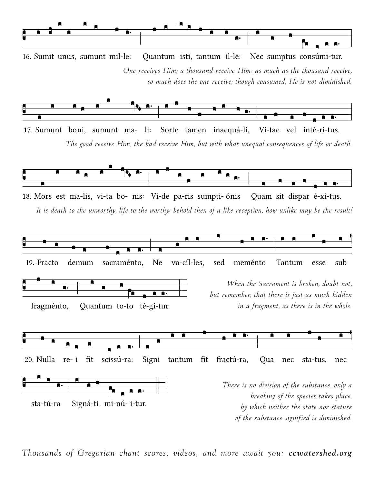

*One receives Him; a thousand receive Him: as much as the thousand receive, so much does the one receive; though consumed, He is not diminished.* 16. Su mit u nus, su munt mil- le: Quantum isti, tantum il-le: Nec sumptus consúmi-tur.



*The good receive Him, the bad receive Him, but with what unequal consequences of life or death.* 17. Su munt bo ni, su munt ma- li: Sorte tamen inaequá-li, Vi-tae vel inté-ri-tus.



*It is death to the unworthy, life to the worthy: behold then of a like reception, how unlike may be the result!* 18. Mors est ma-lis, vi-ta bo- nis: Vi-de pa-ris sumpti-ónis Quam sit dispar é-xi-tus.



*Thousands of Gregorian chant scores, videos, and more await you: ccwatershed.org*